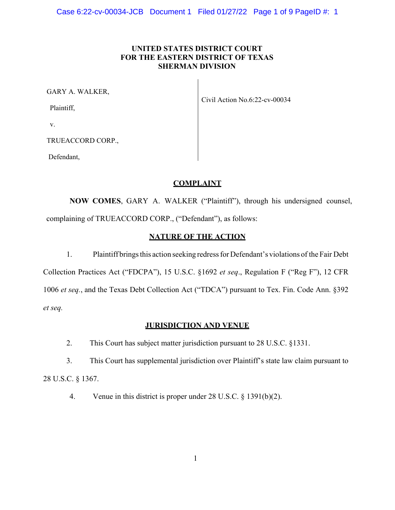### **UNITED STATES DISTRICT COURT FOR THE EASTERN DISTRICT OF TEXAS SHERMAN DIVISION**

GARY A. WALKER,

Plaintiff,

v.

TRUEACCORD CORP.,

Defendant,

Civil Action No.6:22-cv-00034

# **COMPLAINT**

**NOW COMES**, GARY A. WALKER ("Plaintiff"), through his undersigned counsel, complaining of TRUEACCORD CORP., ("Defendant"), as follows:

# **NATURE OF THE ACTION**

1. Plaintiff brings this action seeking redress for Defendant's violations of the Fair Debt Collection Practices Act ("FDCPA"), 15 U.S.C. §1692 *et seq*., Regulation F ("Reg F"), 12 CFR 1006 *et seq.*, and the Texas Debt Collection Act ("TDCA") pursuant to Tex. Fin. Code Ann. §392 *et seq.* 

## **JURISDICTION AND VENUE**

2. This Court has subject matter jurisdiction pursuant to 28 U.S.C. §1331.

3. This Court has supplemental jurisdiction over Plaintiff's state law claim pursuant to 28 U.S.C. § 1367.

4. Venue in this district is proper under 28 U.S.C. § 1391(b)(2).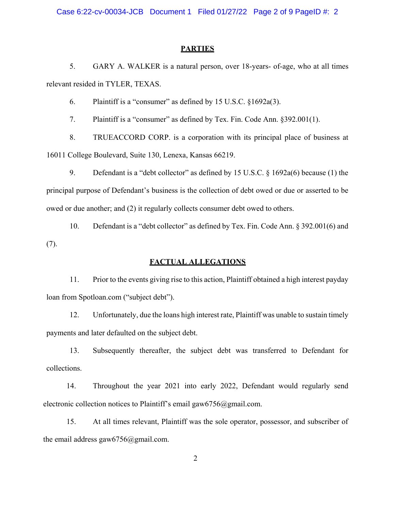Case 6:22-cv-00034-JCB Document 1 Filed 01/27/22 Page 2 of 9 PageID #: 2

#### **PARTIES**

5. GARY A. WALKER is a natural person, over 18-years- of-age, who at all times relevant resided in TYLER, TEXAS.

6. Plaintiff is a "consumer" as defined by 15 U.S.C. §1692a(3).

7. Plaintiff is a "consumer" as defined by Tex. Fin. Code Ann. §392.001(1).

8. TRUEACCORD CORP. is a corporation with its principal place of business at 16011 College Boulevard, Suite 130, Lenexa, Kansas 66219.

9. Defendant is a "debt collector" as defined by 15 U.S.C. § 1692a(6) because (1) the principal purpose of Defendant's business is the collection of debt owed or due or asserted to be owed or due another; and (2) it regularly collects consumer debt owed to others.

10. Defendant is a "debt collector" as defined by Tex. Fin. Code Ann. § 392.001(6) and (7).

### **FACTUAL ALLEGATIONS**

11. Prior to the events giving rise to this action, Plaintiff obtained a high interest payday loan from Spotloan.com ("subject debt").

12. Unfortunately, due the loans high interest rate, Plaintiff was unable to sustain timely payments and later defaulted on the subject debt.

13. Subsequently thereafter, the subject debt was transferred to Defendant for collections.

14. Throughout the year 2021 into early 2022, Defendant would regularly send electronic collection notices to Plaintiff's email gaw6756@gmail.com.

15. At all times relevant, Plaintiff was the sole operator, possessor, and subscriber of the email address gaw $6756$ @gmail.com.

2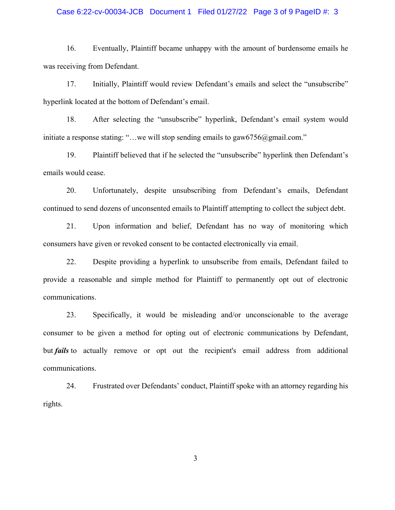#### Case 6:22-cv-00034-JCB Document 1 Filed 01/27/22 Page 3 of 9 PageID #: 3

16. Eventually, Plaintiff became unhappy with the amount of burdensome emails he was receiving from Defendant.

17. Initially, Plaintiff would review Defendant's emails and select the "unsubscribe" hyperlink located at the bottom of Defendant's email.

18. After selecting the "unsubscribe" hyperlink, Defendant's email system would initiate a response stating: "...we will stop sending emails to gaw6756@gmail.com."

19. Plaintiff believed that if he selected the "unsubscribe" hyperlink then Defendant's emails would cease.

20. Unfortunately, despite unsubscribing from Defendant's emails, Defendant continued to send dozens of unconsented emails to Plaintiff attempting to collect the subject debt.

21. Upon information and belief, Defendant has no way of monitoring which consumers have given or revoked consent to be contacted electronically via email.

22. Despite providing a hyperlink to unsubscribe from emails, Defendant failed to provide a reasonable and simple method for Plaintiff to permanently opt out of electronic communications.

23. Specifically, it would be misleading and/or unconscionable to the average consumer to be given a method for opting out of electronic communications by Defendant, but *fails* to actually remove or opt out the recipient's email address from additional communications.

24. Frustrated over Defendants' conduct, Plaintiff spoke with an attorney regarding his rights.

3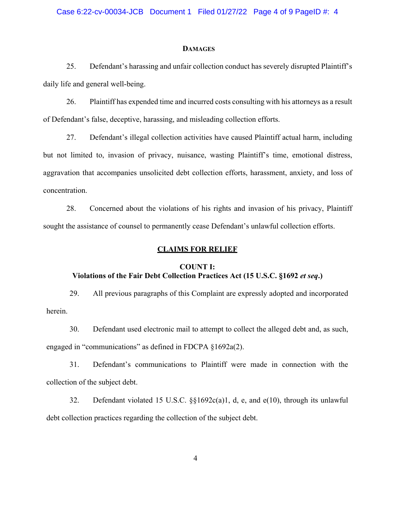#### **DAMAGES**

25. Defendant's harassing and unfair collection conduct has severely disrupted Plaintiff's daily life and general well-being.

26. Plaintiff has expended time and incurred costs consulting with his attorneys as a result of Defendant's false, deceptive, harassing, and misleading collection efforts.

27. Defendant's illegal collection activities have caused Plaintiff actual harm, including but not limited to, invasion of privacy, nuisance, wasting Plaintiff's time, emotional distress, aggravation that accompanies unsolicited debt collection efforts, harassment, anxiety, and loss of concentration.

28. Concerned about the violations of his rights and invasion of his privacy, Plaintiff sought the assistance of counsel to permanently cease Defendant's unlawful collection efforts.

#### **CLAIMS FOR RELIEF**

# **COUNT I: Violations of the Fair Debt Collection Practices Act (15 U.S.C. §1692** *et seq***.)**

29. All previous paragraphs of this Complaint are expressly adopted and incorporated herein.

30. Defendant used electronic mail to attempt to collect the alleged debt and, as such, engaged in "communications" as defined in FDCPA §1692a(2).

31. Defendant's communications to Plaintiff were made in connection with the collection of the subject debt.

32. Defendant violated 15 U.S.C. §§1692c(a)1, d, e, and e(10), through its unlawful debt collection practices regarding the collection of the subject debt.

4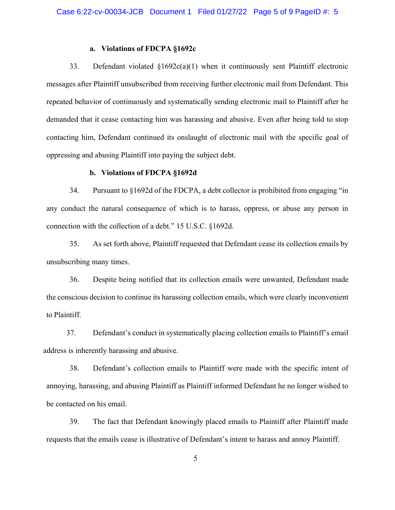#### **a. Violations of FDCPA §1692c**

33. Defendant violated §1692c(a)(1) when it continuously sent Plaintiff electronic messages after Plaintiff unsubscribed from receiving further electronic mail from Defendant. This repeated behavior of continuously and systematically sending electronic mail to Plaintiff after he demanded that it cease contacting him was harassing and abusive. Even after being told to stop contacting him, Defendant continued its onslaught of electronic mail with the specific goal of oppressing and abusing Plaintiff into paying the subject debt.

#### **b. Violations of FDCPA §1692d**

34. Pursuant to §1692d of the FDCPA, a debt collector is prohibited from engaging "in any conduct the natural consequence of which is to harass, oppress, or abuse any person in connection with the collection of a debt." 15 U.S.C. §1692d.

35. As set forth above, Plaintiff requested that Defendant cease its collection emails by unsubscribing many times.

36. Despite being notified that its collection emails were unwanted, Defendant made the conscious decision to continue its harassing collection emails, which were clearly inconvenient to Plaintiff.

37. Defendant's conduct in systematically placing collection emails to Plaintiff's email address is inherently harassing and abusive.

38. Defendant's collection emails to Plaintiff were made with the specific intent of annoying, harassing, and abusing Plaintiff as Plaintiff informed Defendant he no longer wished to be contacted on his email.

39. The fact that Defendant knowingly placed emails to Plaintiff after Plaintiff made requests that the emails cease is illustrative of Defendant's intent to harass and annoy Plaintiff.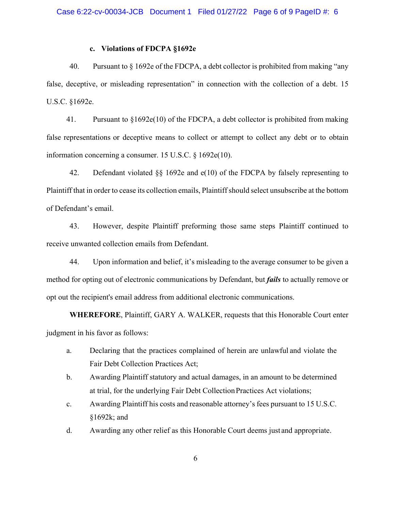#### **c. Violations of FDCPA §1692e**

40. Pursuant to § 1692e of the FDCPA, a debt collector is prohibited from making "any false, deceptive, or misleading representation" in connection with the collection of a debt. 15 U.S.C. §1692e.

41. Pursuant to §1692e(10) of the FDCPA, a debt collector is prohibited from making false representations or deceptive means to collect or attempt to collect any debt or to obtain information concerning a consumer. 15 U.S.C. § 1692e(10).

42. Defendant violated §§ 1692e and e(10) of the FDCPA by falsely representing to Plaintiff that in order to cease its collection emails, Plaintiff should select unsubscribe at the bottom of Defendant's email.

43. However, despite Plaintiff preforming those same steps Plaintiff continued to receive unwanted collection emails from Defendant.

44. Upon information and belief, it's misleading to the average consumer to be given a method for opting out of electronic communications by Defendant, but *fails* to actually remove or opt out the recipient's email address from additional electronic communications.

**WHEREFORE**, Plaintiff, GARY A. WALKER, requests that this Honorable Court enter judgment in his favor as follows:

- a. Declaring that the practices complained of herein are unlawful and violate the Fair Debt Collection Practices Act;
- b. Awarding Plaintiff statutory and actual damages, in an amount to be determined at trial, for the underlying Fair Debt Collection Practices Act violations;
- c. Awarding Plaintiff his costs and reasonable attorney's fees pursuant to 15 U.S.C. §1692k; and
- d. Awarding any other relief as this Honorable Court deems just and appropriate.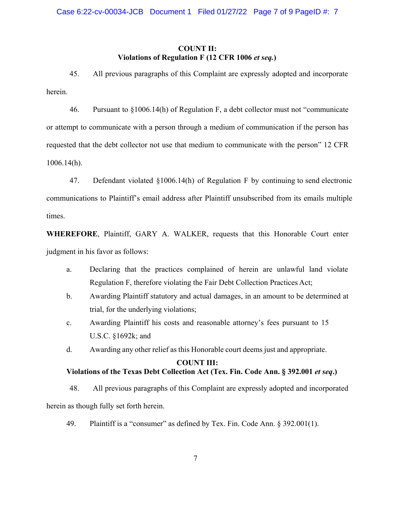### **COUNT II: Violations of Regulation F (12 CFR 1006** *et seq.***)**

45. All previous paragraphs of this Complaint are expressly adopted and incorporate herein.

46. Pursuant to §1006.14(h) of Regulation F, a debt collector must not "communicate or attempt to communicate with a person through a medium of communication if the person has requested that the debt collector not use that medium to communicate with the person" 12 CFR 1006.14(h).

47. Defendant violated §1006.14(h) of Regulation F by continuing to send electronic communications to Plaintiff's email address after Plaintiff unsubscribed from its emails multiple times.

**WHEREFORE**, Plaintiff, GARY A. WALKER, requests that this Honorable Court enter judgment in his favor as follows:

- a. Declaring that the practices complained of herein are unlawful land violate Regulation F, therefore violating the Fair Debt Collection Practices Act;
- b. Awarding Plaintiff statutory and actual damages, in an amount to be determined at trial, for the underlying violations;
- c. Awarding Plaintiff his costs and reasonable attorney's fees pursuant to 15 U.S.C. §1692k; and
- d. Awarding any other relief as this Honorable court deems just and appropriate.

### **COUNT III:**

## **Violations of the Texas Debt Collection Act (Tex. Fin. Code Ann. § 392.001** *et seq***.)**

48. All previous paragraphs of this Complaint are expressly adopted and incorporated herein as though fully set forth herein.

49. Plaintiff is a "consumer" as defined by Tex. Fin. Code Ann. § 392.001(1).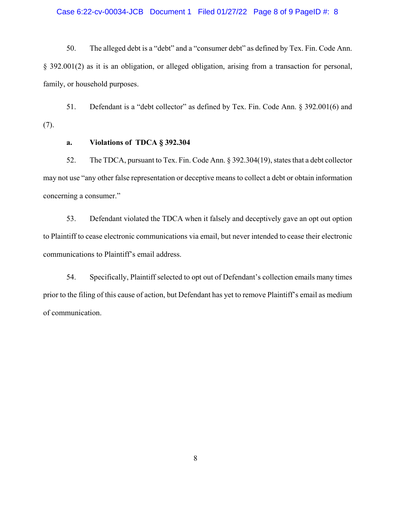#### Case 6:22-cv-00034-JCB Document 1 Filed 01/27/22 Page 8 of 9 PageID #: 8

50. The alleged debt is a "debt" and a "consumer debt" as defined by Tex. Fin. Code Ann. § 392.001(2) as it is an obligation, or alleged obligation, arising from a transaction for personal, family, or household purposes.

51. Defendant is a "debt collector" as defined by Tex. Fin. Code Ann. § 392.001(6) and (7).

### **a. Violations of TDCA § 392.304**

52. The TDCA, pursuant to Tex. Fin. Code Ann. § 392.304(19), states that a debt collector may not use "any other false representation or deceptive means to collect a debt or obtain information concerning a consumer."

53. Defendant violated the TDCA when it falsely and deceptively gave an opt out option to Plaintiff to cease electronic communications via email, but never intended to cease their electronic communications to Plaintiff's email address.

54. Specifically, Plaintiff selected to opt out of Defendant's collection emails many times prior to the filing of this cause of action, but Defendant has yet to remove Plaintiff's email as medium of communication.